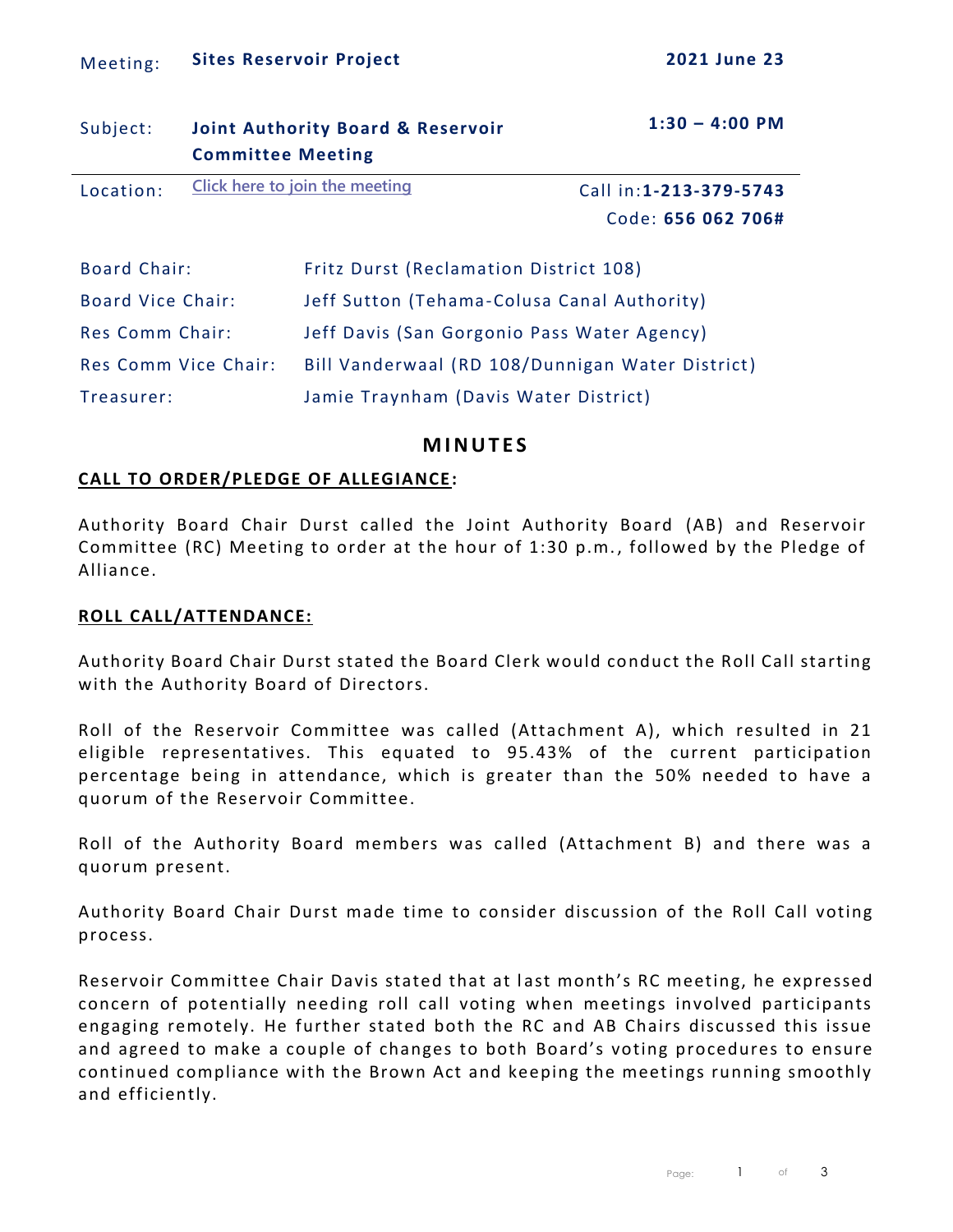| Subject:                 | <b>Committee Meeting</b> | <b>Joint Authority Board &amp; Reservoir</b>     | $1:30 - 4:00$ PM        |  |  |  |
|--------------------------|--------------------------|--------------------------------------------------|-------------------------|--|--|--|
| Location:                |                          | Click here to join the meeting                   | Call in: 1-213-379-5743 |  |  |  |
|                          |                          |                                                  | Code: 656 062 706#      |  |  |  |
| <b>Board Chair:</b>      |                          | Fritz Durst (Reclamation District 108)           |                         |  |  |  |
| <b>Board Vice Chair:</b> |                          | Jeff Sutton (Tehama-Colusa Canal Authority)      |                         |  |  |  |
| Res Comm Chair:          |                          | Jeff Davis (San Gorgonio Pass Water Agency)      |                         |  |  |  |
| Res Comm Vice Chair:     |                          | Bill Vanderwaal (RD 108/Dunnigan Water District) |                         |  |  |  |
| Treasurer:               |                          | Jamie Traynham (Davis Water District)            |                         |  |  |  |

### **M I N U T E S**

#### **CALL TO ORDER/PLEDGE OF ALLEGIANCE:**

Authority Board Chair Durst called the Joint Authority Board (AB) and Reservoir Committee (RC) Meeting to order at the hour of 1:30 p.m. , followed by the Pledge of Alliance.

#### **ROLL CALL/ATTENDANCE:**

Authority Board Chair Durst stated the Board Clerk would conduct the Roll Call starting with the Authority Board of Directors.

Roll of the Reservoir Committee was called (Attachment A), which resulted in 21 eligible representatives. This equated to 95.43% of the current participation percentage being in attendance, which is greater than the 50% needed to have a quorum of the Reservoir Committee.

Roll of the Authority Board members was called (Attachment B) and there was a quorum present.

Authority Board Chair Durst made time to consider discussion of the Roll Call voting process.

Reservoir Committee Chair Davis stated that at last month's RC meeting, he expressed concern of potentially needing roll call voting when meetings involved participants engaging remotely. He further stated both the RC and AB Chairs discussed this issue and agreed to make a couple of changes to both Board's voting procedures to ensure continued compliance with the Brown Act and keeping the meetings running smoothly and efficiently.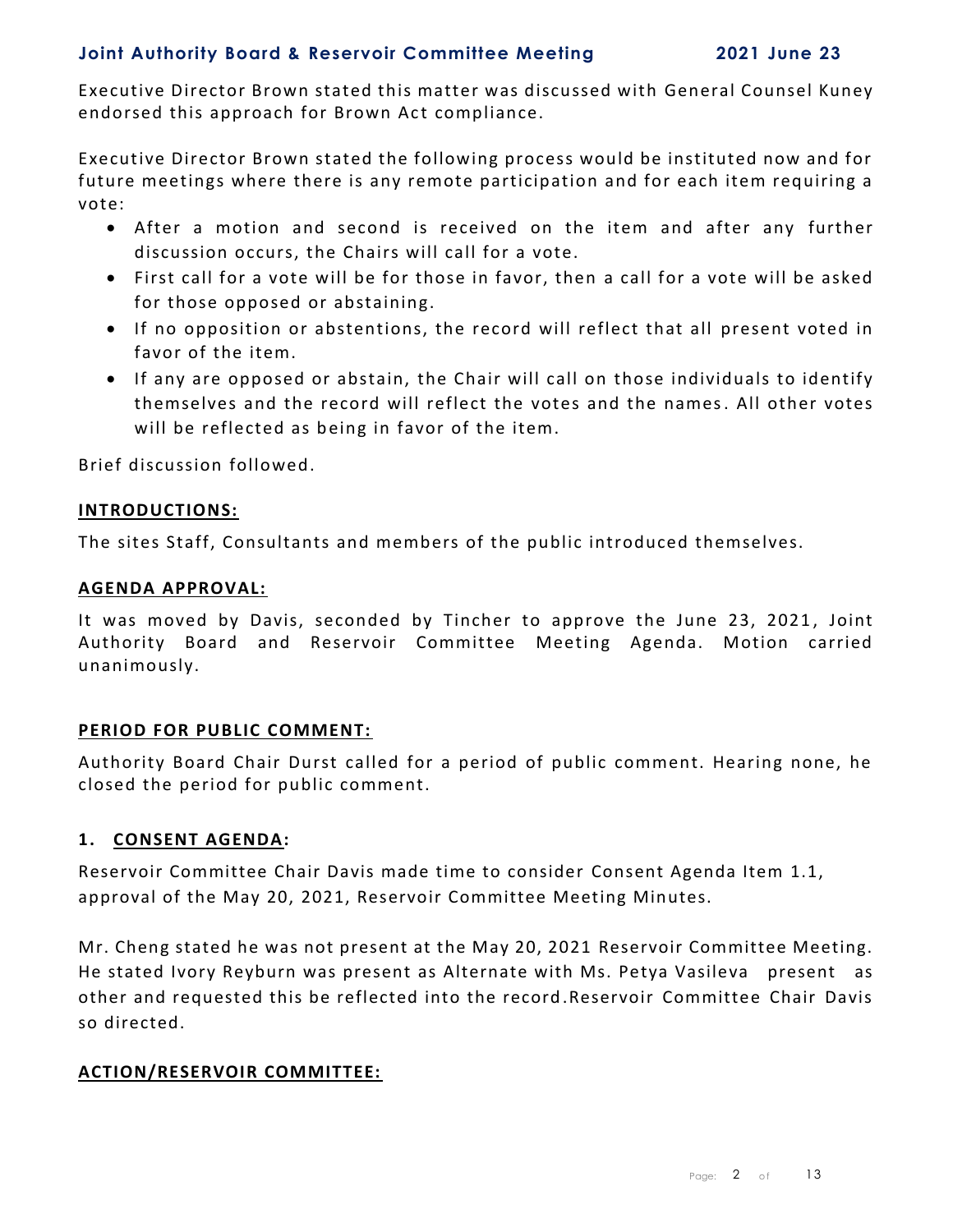Executive Director Brown stated this matter was discussed with General Counsel Kuney endorsed this approach for Brown Act compliance.

Executive Director Brown stated the following process would be instituted now and for future meetings where there is any remote participation and for each item requiring a vote:

- After a motion and second is received on the item and after any further discussion occurs, the Chairs will call for a vote.
- First call for a vote will be for those in favor, then a call for a vote will be asked for those opposed or abstaining.
- If no opposition or abstentions, the record will reflect that all present voted in favor of the item.
- If any are opposed or abstain, the Chair will call on those individuals to identify themselves and the record will reflect the votes and the names. All other votes will be reflected as being in favor of the item.

Brief discussion followed.

#### **INTRODUCTIONS:**

The sites Staff, Consultants and members of the public introduced themselves.

#### **AGENDA APPROVAL:**

It was moved by Davis, seconded by Tincher to approve the June 23, 2021, Joint Authority Board and Reservoir Committee Meeting Agenda. Motion carried unanimously.

#### **PERIOD FOR PUBLIC COMMENT:**

Authority Board Chair Durst called for a period of public comment. Hearing none, he closed the period for public comment.

#### **1. CONSENT AGENDA:**

Reservoir Committee Chair Davis made time to consider Consent Agenda Item 1.1, approval of the May 20, 2021, Reservoir Committee Meeting Minutes.

Mr. Cheng stated he was not present at the May 20, 2021 Reservoir Committee Meeting. He stated Ivory Reyburn was present as Alternate with Ms. Petya Vasileva present as other and requested this be reflected into the record .Reservoir Committee Chair Davis so directed.

#### **ACTION/RESERVOIR COMMITTEE:**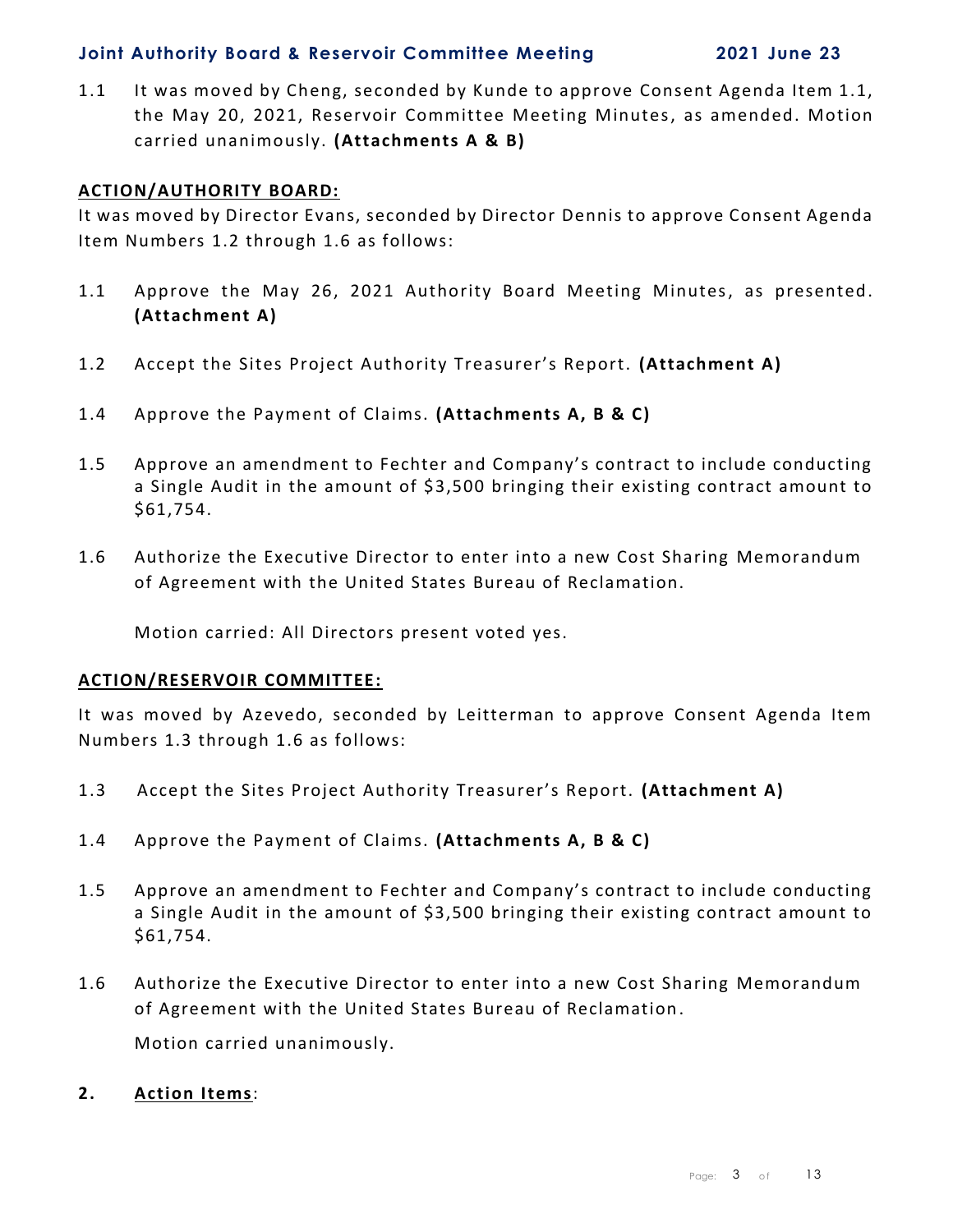1.1 It was moved by Cheng, seconded by Kunde to approve Consent Agenda Item 1.1, the May 20, 2021, Reservoir Committee Meeting Minutes, as amended. Motion carried unanimously. **(Attachments A & B)**

#### **ACTION/AUTHORITY BOARD:**

It was moved by Director Evans, seconded by Director Dennis to approve Consent Agenda Item Numbers 1.2 through 1.6 as follows:

- 1.1 Approve the May 26, 2021 Authority Board Meeting Minutes, as presented. **(Attachment A)**
- 1.2 Accept the Sites Project Authority Treasurer's Report. **(Attachment A)**
- 1.4 Approve the Payment of Claims. **(Attachments A, B & C)**
- 1.5 Approve an amendment to Fechter and Company's contract to include conducting a Single Audit in the amount of \$3,500 bringing their existing contract amount to \$61,754.
- 1.6 Authorize the Executive Director to enter into a new Cost Sharing Memorandum of Agreement with the United States Bureau of Reclamation.

Motion carried: All Directors present voted yes.

#### **ACTION/RESERVOIR COMMITTEE:**

It was moved by Azevedo, seconded by Leitterman to approve Consent Agenda Item Numbers 1.3 through 1.6 as follows:

- 1.3 Accept the Sites Project Authority Treasurer's Report. **(Attachment A)**
- 1.4 Approve the Payment of Claims. **(Attachments A, B & C)**
- 1.5Approve an amendment to Fechter and Company's contract to include conducting a Single Audit in the amount of \$3,500 bringing their existing contract amount to \$61,754.
- 1.6 Authorize the Executive Director to enter into a new Cost Sharing Memorandum of Agreement with the United States Bureau of Reclamation .

Motion carried unanimously.

**2. Action Items**: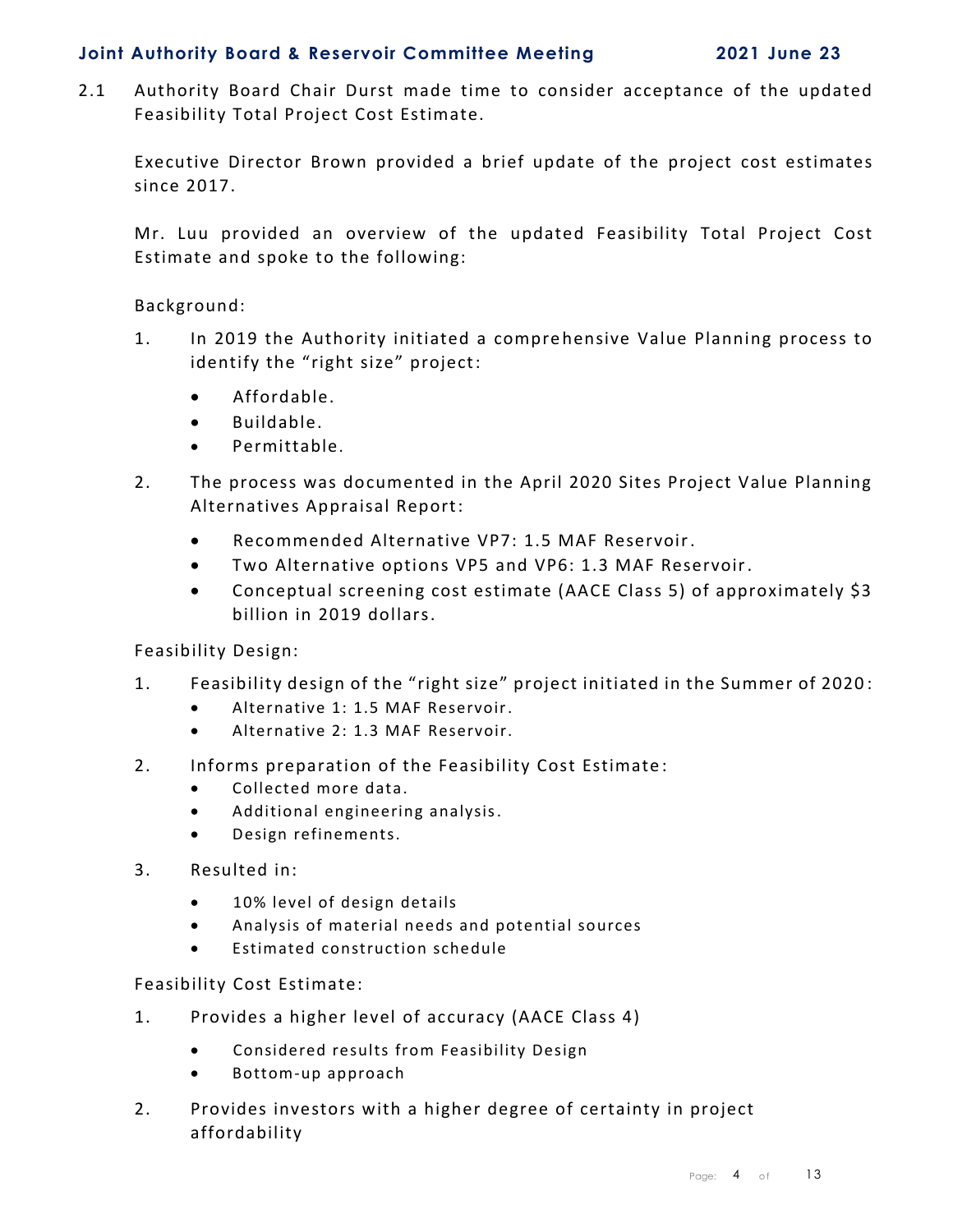2.1 Authority Board Chair Durst made time to consider acceptance of the updated Feasibility Total Project Cost Estimate.

Executive Director Brown provided a brief update of the project cost estimates since 2017.

Mr. Luu provided an overview of the updated Feasibility Total Project Cost Estimate and spoke to the following:

Background:

- 1. In 2019 the Authority initiated a compre hensive Value Planning process to identify the "right size" project:
	- Affordable.
	- Buildable.
	- Permittable.
- 2. The process was documented in the April 2020 Sites Project Value Planning Alternatives Appraisal Report:
	- Recommended Alternative VP7: 1.5 MAF Reservoir.
	- Two Alternative options VP5 and VP6: 1.3 MAF Reservoir.
	- Conceptual screening cost estimate (AACE Class 5) of approximately \$3 billion in 2019 dollars.

Feasibility Design:

- 1. Feasibility design of the "right size" project initiated in the Summer of 2020 :
	- Alternative 1: 1.5 MAF Reservoir.
	- Alternative 2: 1.3 MAF Reservoir.
- 2. Informs preparation of the Feasibility Cost Estimate :
	- Collected more data.
	- Additional engineering analysis.
	- Design refinements.
- 3. Resulted in:
	- 10% level of design details
	- Analysis of material needs and potential sources
	- Estimated construction schedule

Feasibility Cost Estimate:

- 1. Provides a higher level of accuracy (AACE Class 4)
	- Considered results from Feasibility Design
	- Bottom-up approach
- 2. Provides investors with a higher degree of certainty in project affordability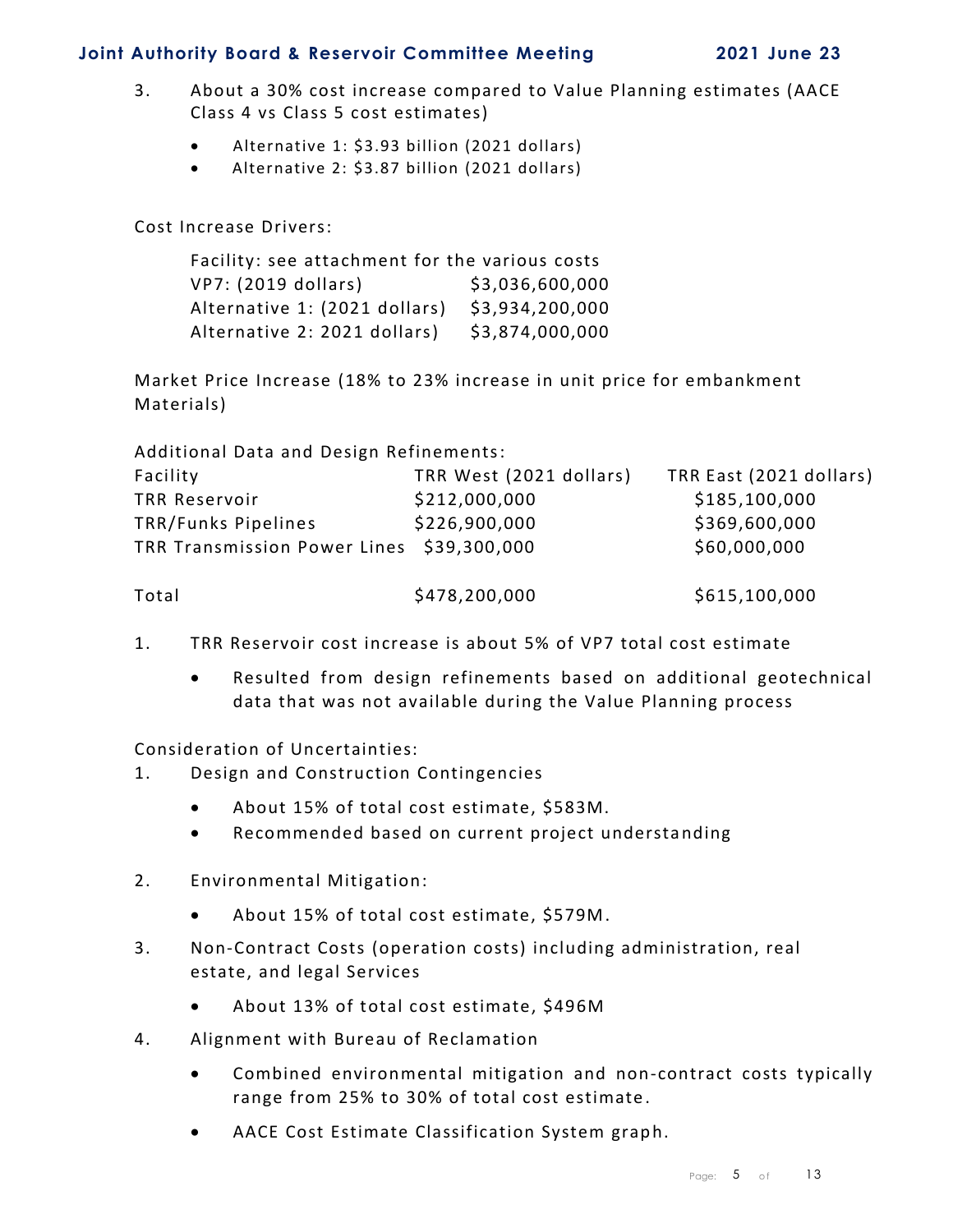- 3. About a 30% cost increase compared to Value Planning estimates (AACE Class 4 vs Class 5 cost estimates)
	- Alternative 1: \$3.93 billion (2021 dollars)
	- Alternative 2: \$3.87 billion (2021 dollars)

Cost Increase Drivers:

| Facility: see attachment for the various costs |                 |  |  |  |  |  |
|------------------------------------------------|-----------------|--|--|--|--|--|
| VP7: (2019 dollars)                            | \$3,036,600,000 |  |  |  |  |  |
| Alternative 1: (2021 dollars)                  | \$3,934,200,000 |  |  |  |  |  |
| Alternative 2: 2021 dollars)                   | \$3,874,000,000 |  |  |  |  |  |

Market Price Increase (18% to 23% increase in unit price for embankment Materials)

| Additional Data and Design Refinements:   |                         |                         |  |  |  |  |  |  |
|-------------------------------------------|-------------------------|-------------------------|--|--|--|--|--|--|
| Facility                                  | TRR West (2021 dollars) | TRR East (2021 dollars) |  |  |  |  |  |  |
| <b>TRR Reservoir</b>                      | \$212,000,000           | \$185,100,000           |  |  |  |  |  |  |
| TRR/Funks Pipelines                       | \$226,900,000           | \$369,600,000           |  |  |  |  |  |  |
| TRR Transmission Power Lines \$39,300,000 |                         | \$60,000,000            |  |  |  |  |  |  |
| Total                                     | \$478,200,000           | \$615,100,000           |  |  |  |  |  |  |

- 1. TRR Reservoir cost increase is about 5% of VP7 total cost estimate
	- Resulted from design refinements based on additional geotechnical data that was not available during the Value Planning process

Consideration of Uncertainties:

- 1. Design and Construction Contingencies
	- About 15% of total cost estimate, \$583M.
	- Recommended based on current project understanding
- 2. Environmental Mitigation:
	- About 15% of total cost estimate, \$579M.
- 3. Non-Contract Costs (operation costs) including administration, real estate, and legal Services
	- About 13% of total cost estimate, \$496M
- 4. Alignment with Bureau of Reclamation
	- Combined environmental mitigation and non-contract costs typically range from 25% to 30% of total cost estimate.
	- AACE Cost Estimate Classification System graph.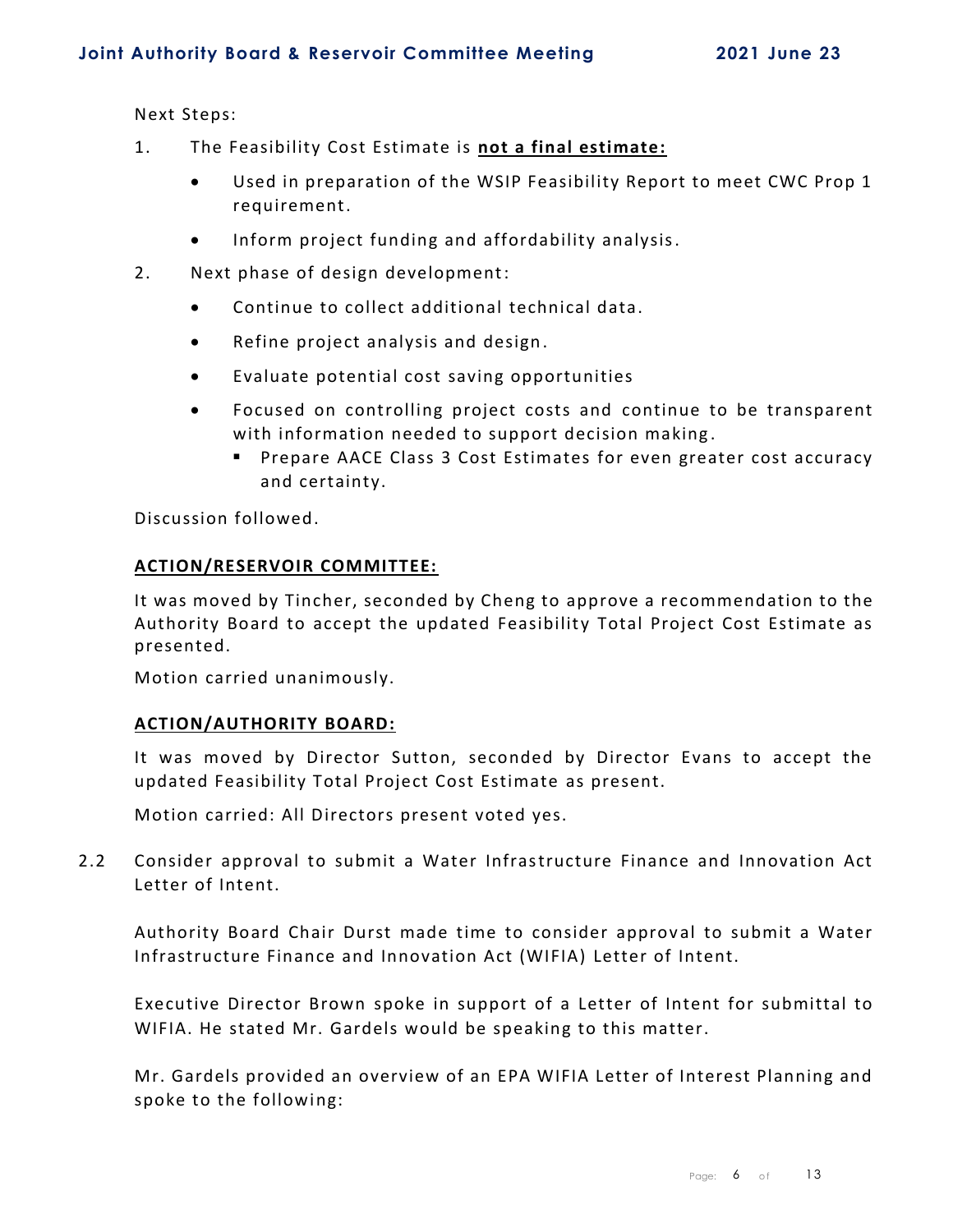Next Steps:

- 1. The Feasibility Cost Estimate is **not a final estimate:**
	- Used in preparation of the WSIP Feasibility Report to meet CWC Prop 1 requirement.
	- Inform project funding and affordability analysis.
- 2. Next phase of design development:
	- Continue to collect additional technical data.
	- Refine project analysis and design .
	- Evaluate potential cost saving opportunities
	- Focused on controlling project costs and continue to be transparent with information needed to support decision making.
		- Prepare AACE Class 3 Cost Estimates for even greater cost accuracy and certainty.

Discussion followed.

#### **ACTION/RESERVOIR COMMITTEE:**

It was moved by Tincher, seconded by Cheng to approve a recommendation to the Authority Board to accept the updated Feasibility Total Project Cost Estimate as presented.

Motion carried unanimously.

#### **ACTION/AUTHORITY BOARD:**

It was moved by Director Sutton, seconded by Director Evans to accept the updated Feasibility Total Project Cost Estimate as present.

Motion carried: All Directors present voted yes.

2.2 Consider approval to submit a Water Infrastructure Finance and Innovation Act Letter of Intent.

Authority Board Chair Durst made time to consider approval to submit a Water Infrastructure Finance and Innovation Act (WIFIA) Letter of Intent.

Executive Director Brown spoke in support of a Letter of Intent for submittal to WIFIA. He stated Mr. Gardels would be speaking to this matter.

Mr. Gardels provided an overview of an EPA WIFIA Letter of Interest Planning and spoke to the following: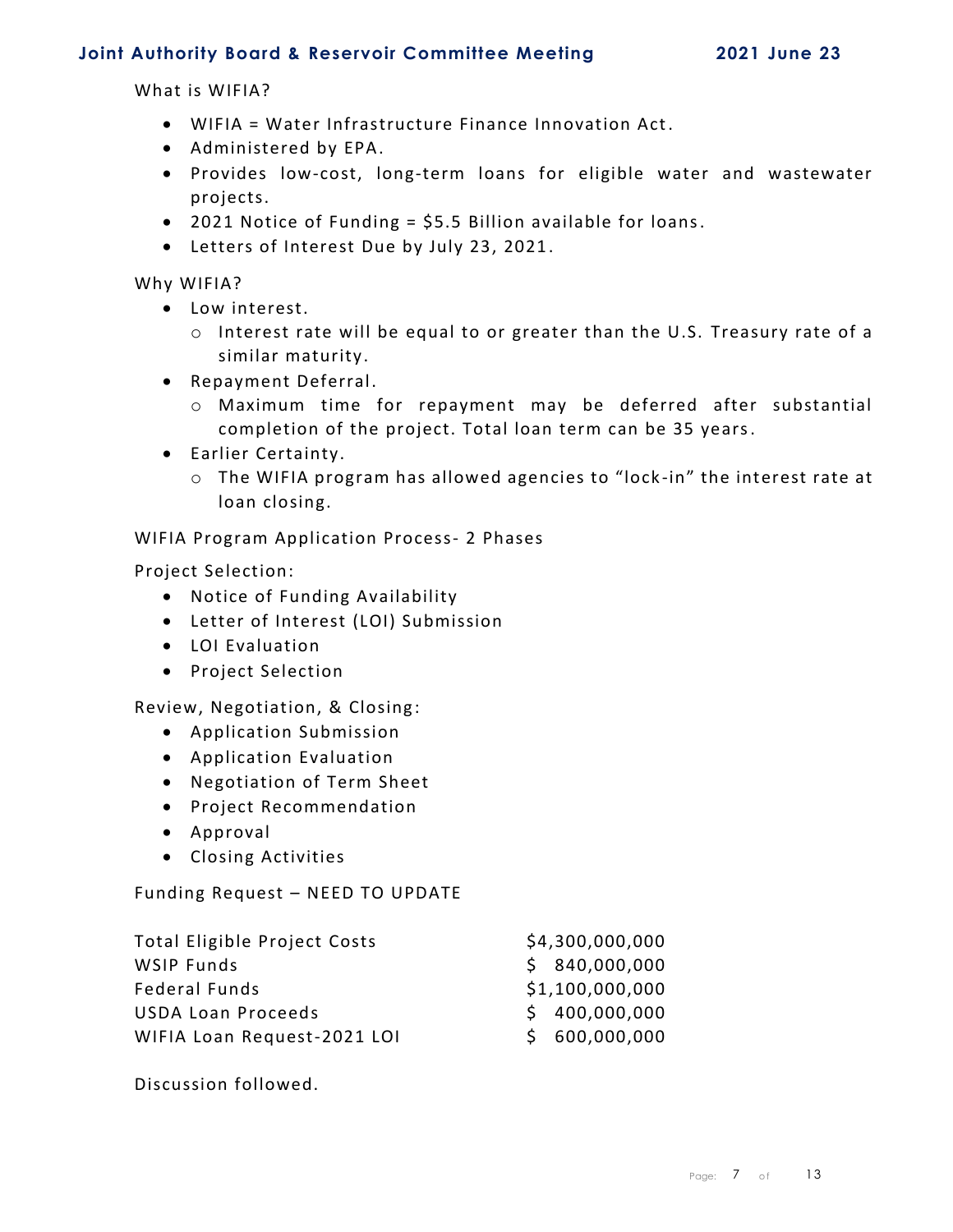What is WIFIA?

- WIFIA = Water Infrastructure Finance Innovation Act.
- Administered by EPA.
- Provides low-cost, long-term loans for eligible water and wastewater projects.
- 2021 Notice of Funding = \$5.5 Billion available for loans.
- Letters of Interest Due by July 23, 2021.

Why WIFIA?

- Low interest.
	- o Interest rate will be equal to or greater than the U.S. Treasury rate of a similar maturity.
- Repayment Deferral.
	- o Maximum time for repayment may be deferred after substantial completion of the project. Total loan term can be 35 years.
- Earlier Certainty.
	- o The WIFIA program has allowed agencies to "lock -in" the interest rate at loan closing.

WIFIA Program Application Process- 2 Phases

Project Selection:

- Notice of Funding Availability
- Letter of Interest (LOI) Submission
- LOI Evaluation
- Project Selection

Review, Negotiation, & Closing :

- Application Submission
- Application Evaluation
- Negotiation of Term Sheet
- Project Recommendation
- Approval
- Closing Activities

Funding Request – NEED TO UPDATE

| <b>Total Eligible Project Costs</b> | \$4,300,000,000 |
|-------------------------------------|-----------------|
| WSIP Funds                          | \$840,000,000   |
| <b>Federal Funds</b>                | \$1,100,000,000 |
| <b>USDA Loan Proceeds</b>           | \$400,000,000   |
| WIFIA Loan Request-2021 LOI         | \$600,000,000   |

Discussion followed.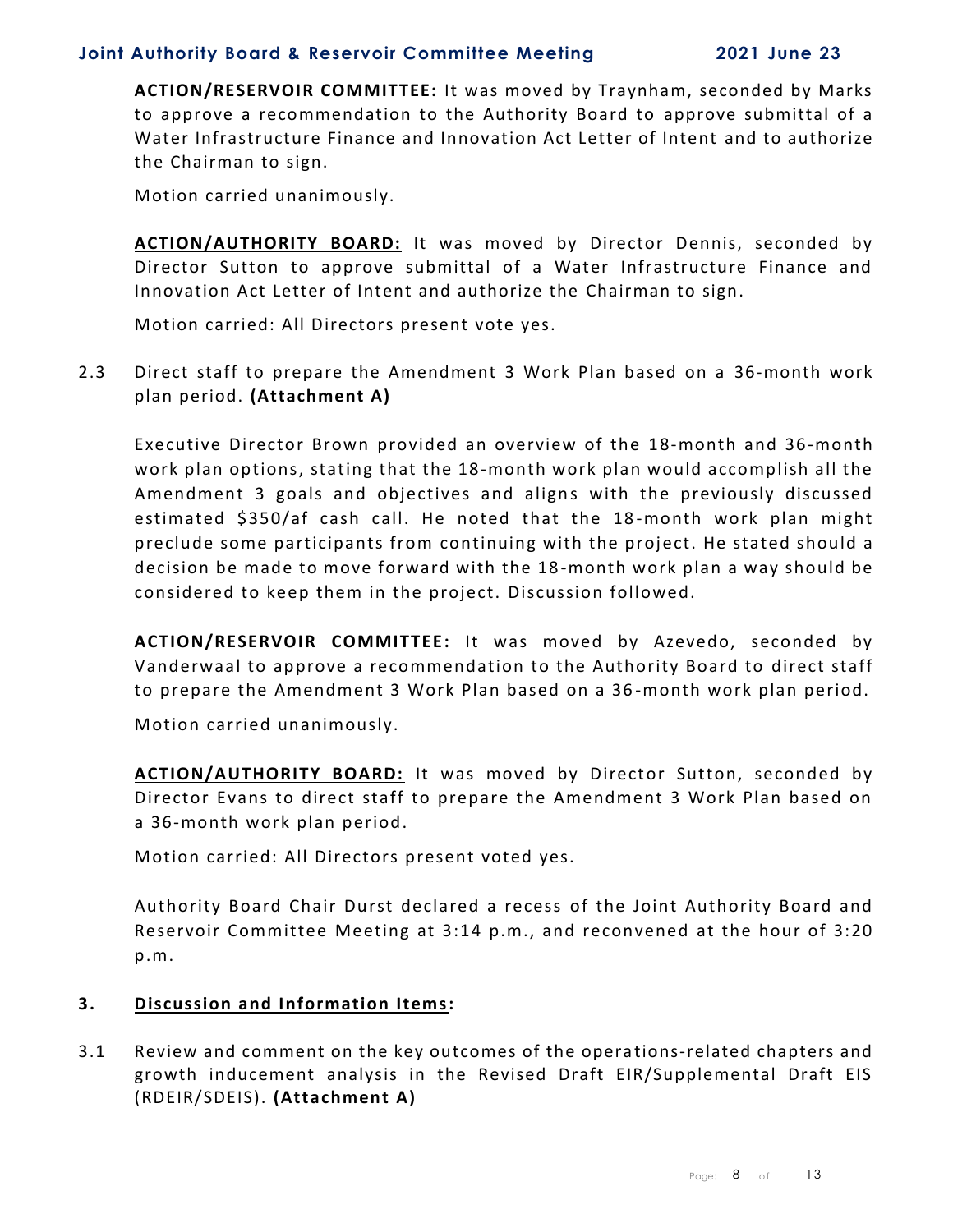**ACTION/RESERVOIR COMMITTEE:** It was moved by Traynham, seconded by Marks to approve a recommendation to the Authority Board to approve submittal of a Water Infrastructure Finance and Innovation Act Letter of Intent and to authorize the Chairman to sign.

Motion carried unanimously.

**ACTION/AUTHORITY BOARD:** It was moved by Director Dennis, seconded by Director Sutton to approve submittal of a Water Infrastructure Finance and Innovation Act Letter of Intent and authorize the Chairman to sign.

Motion carried: All Directors present vote yes.

2.3 Direct staff to prepare the Amendment 3 Work Plan based on a 36-month work plan period. **(Attachment A)**

Executive Director Brown provided an overview of the 18-month and 36-month work plan options, stating that the 18-month work plan would accomplish all the Amendment 3 goals and objectives and aligns with the previously discussed estimated \$350/af cash call. He noted that the 18 -month work plan might preclude some participants from continuing with the project. He stated should a decision be made to move forward with the 18 -month work plan a way should be considered to keep them in the project. Discussion followed.

**ACTION/RESERVOIR COMMITTEE:** It was moved by Azevedo, seconded by Vanderwaal to approve a recommendation to the Authority Board to direct staff to prepare the Amendment 3 Work Plan based on a 36 -month work plan period.

Motion carried unanimously.

**ACTION/AUTHORITY BOARD:** It was moved by Director Sutton, seconded by Director Evans to direct staff to prepare the Amendment 3 Work Plan based on a 36-month work plan period.

Motion carried: All Directors present voted yes.

Authority Board Chair Durst declared a recess of the Joint Authority Board and Reservoir Committee Meeting at 3:14 p.m., and reconvened at the hour of 3:20 p.m.

#### **3. Discussion and Information Items:**

3.1 Review and comment on the key outcomes of the opera tions-related chapters and growth inducement analysis in the Revised Draft EIR/Supplemental Draft EIS (RDEIR/SDEIS). **(Attachment A)**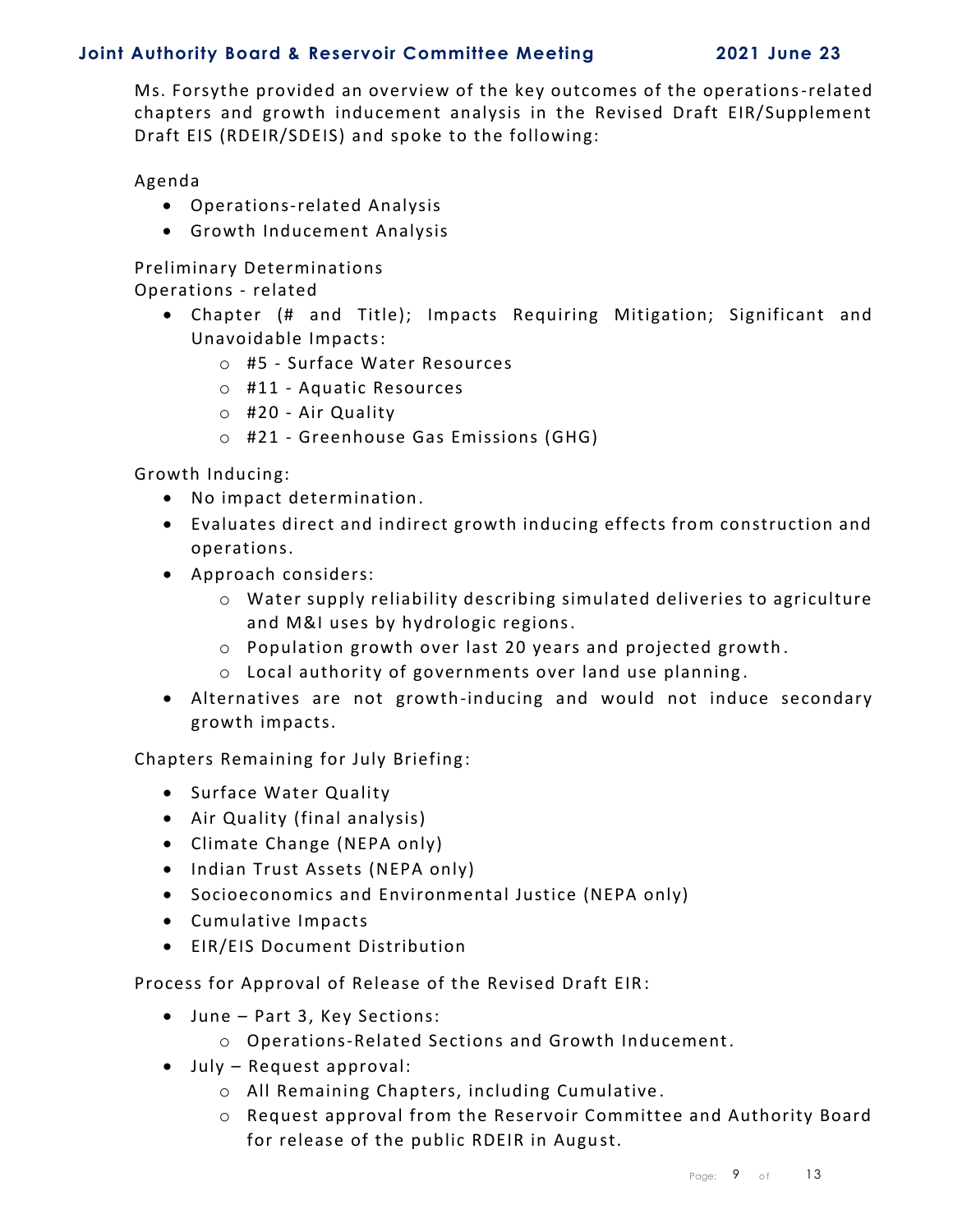Ms. Forsythe provided an overview of the key outcomes of the operations-related chapters and growth inducement analysis in the Revised Draft EIR/Supplement Draft EIS (RDEIR/SDEIS) and spoke to the following:

Agenda

- Operations-related Analysis
- Growth Inducement Analysis

Preliminary Determinations

Operations - related

- Chapter (# and Title); Impacts Requiring Mitigation; Significant and Unavoidable Impacts:
	- o #5 Surface Water Resources
	- o #11 Aquatic Resources
	- o #20 Air Quality
	- o #21 Greenhouse Gas Emissions (GHG)

Growth Inducing:

- No impact determination.
- Evaluates direct and indirect growth inducing effects from construction and operations.
- Approach considers:
	- o Water supply reliability describing simulated deliveries to agriculture and M&I uses by hydrologic regions.
	- o Population growth over last 20 years and projected growth .
	- o Local authority of governments over land use planning .
- Alternatives are not growth-inducing and would not induce secondary growth impacts.

Chapters Remaining for July Briefing:

- Surface Water Quality
- Air Quality (final analysis)
- Climate Change (NEPA only)
- Indian Trust Assets (NEPA only)
- Socioeconomics and Environmental Justice (NEPA only)
- Cumulative Impacts
- EIR/EIS Document Distribution

Process for Approval of Release of the Revised Draft EIR :

- June Part 3, Key Sections:
	- o Operations-Related Sections and Growth Inducement.
- July Request approval:
	- o All Remaining Chapters, including Cumulative .
	- o Request approval from the Reservoir Committee and Authority Board for release of the public RDEIR in August.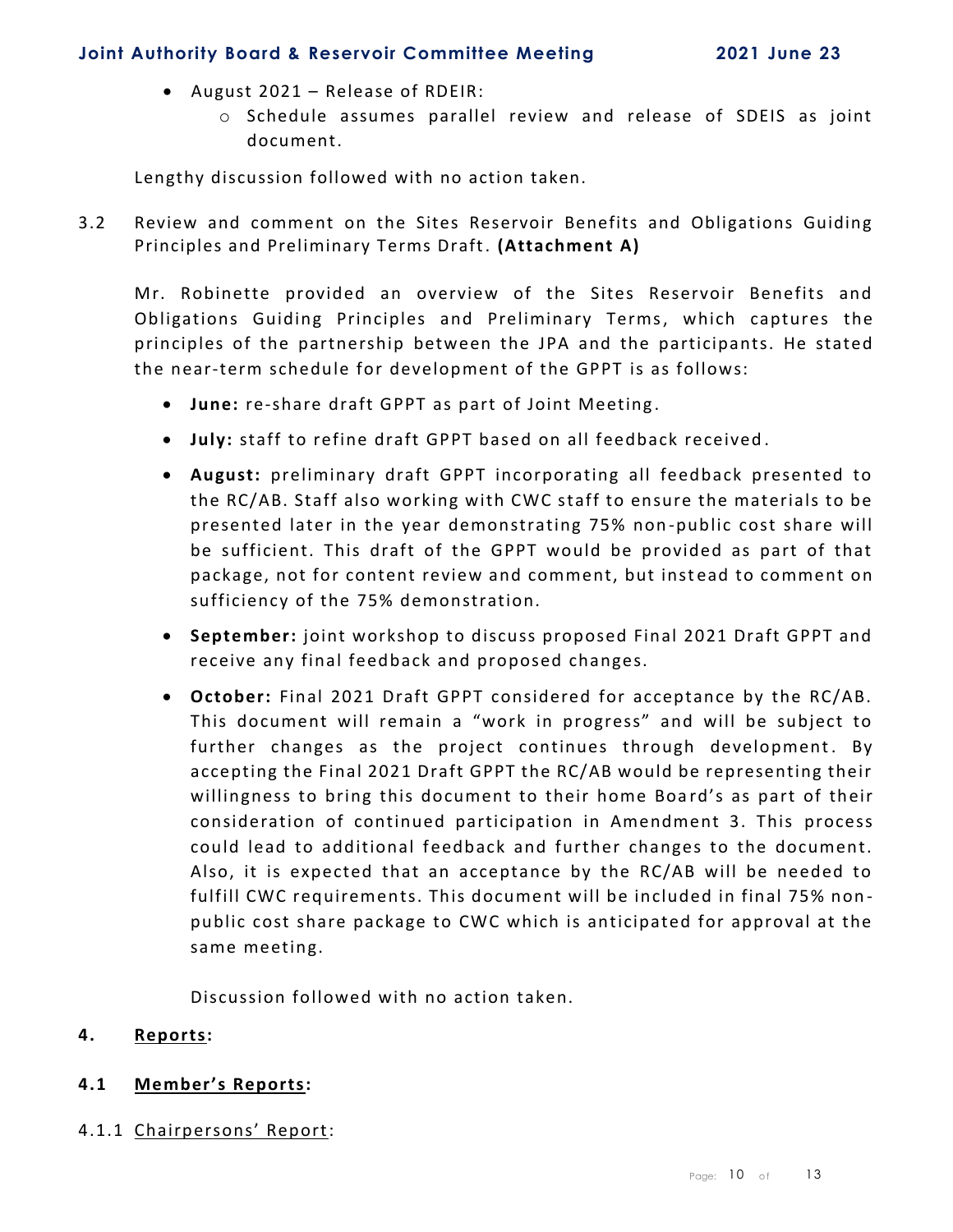- August 2021 Release of RDEIR:
	- o Schedule assumes parallel review and release of SDEIS as joint document.

Lengthy discussion followed with no action taken.

3.2 Review and comment on the Sites Reservoir Benefits and Obligations Guiding Principles and Preliminary Terms Draft. **(Attachment A)**

Mr. Robinette provided an overview of the Sites Reservoir Benefits and Obligations Guiding Principles and Preliminary Terms, which captures the principles of the partnership between the JPA and the participants. He stated the near-term schedule for development of the GPPT is as follows:

- **June:** re-share draft GPPT as part of Joint Meeting .
- **July:** staff to refine draft GPPT based on all feedback received .
- **August:** preliminary draft GPPT incorporating all feedback presented to the RC/AB. Staff also working with CWC staff to ensure the materials to be presented later in the year demonstrating 75% non -public cost share will be sufficient. This draft of the GPPT would be provided as part of that package, not for content review and comment, but instead to comment on sufficiency of the 75% demonstration.
- **September:** joint workshop to discuss proposed Final 2021 Draft GPPT and receive any final feedback and proposed changes.
- **October:** Final 2021 Draft GPPT considered for acceptance by the RC/AB. This document will remain a "work in progress" and will be subject to further changes as the project continues through development. By accepting the Final 2021 Draft GPPT the RC/AB would be representing their willingness to bring this document to their home Board's as part of their consideration of continued participation in Amendment 3. This process could lead to additional feedback and further changes to the document. Also, it is expected that an acceptance by the RC/AB will be needed to fulfill CWC requirements. This document will be included in final 75% non public cost share package to CWC which is anticipated for approval at the same meeting.

Discussion followed with no action taken.

#### **4. Reports:**

#### **4.1 Member's Reports:**

4.1.1 Chairpersons' Report: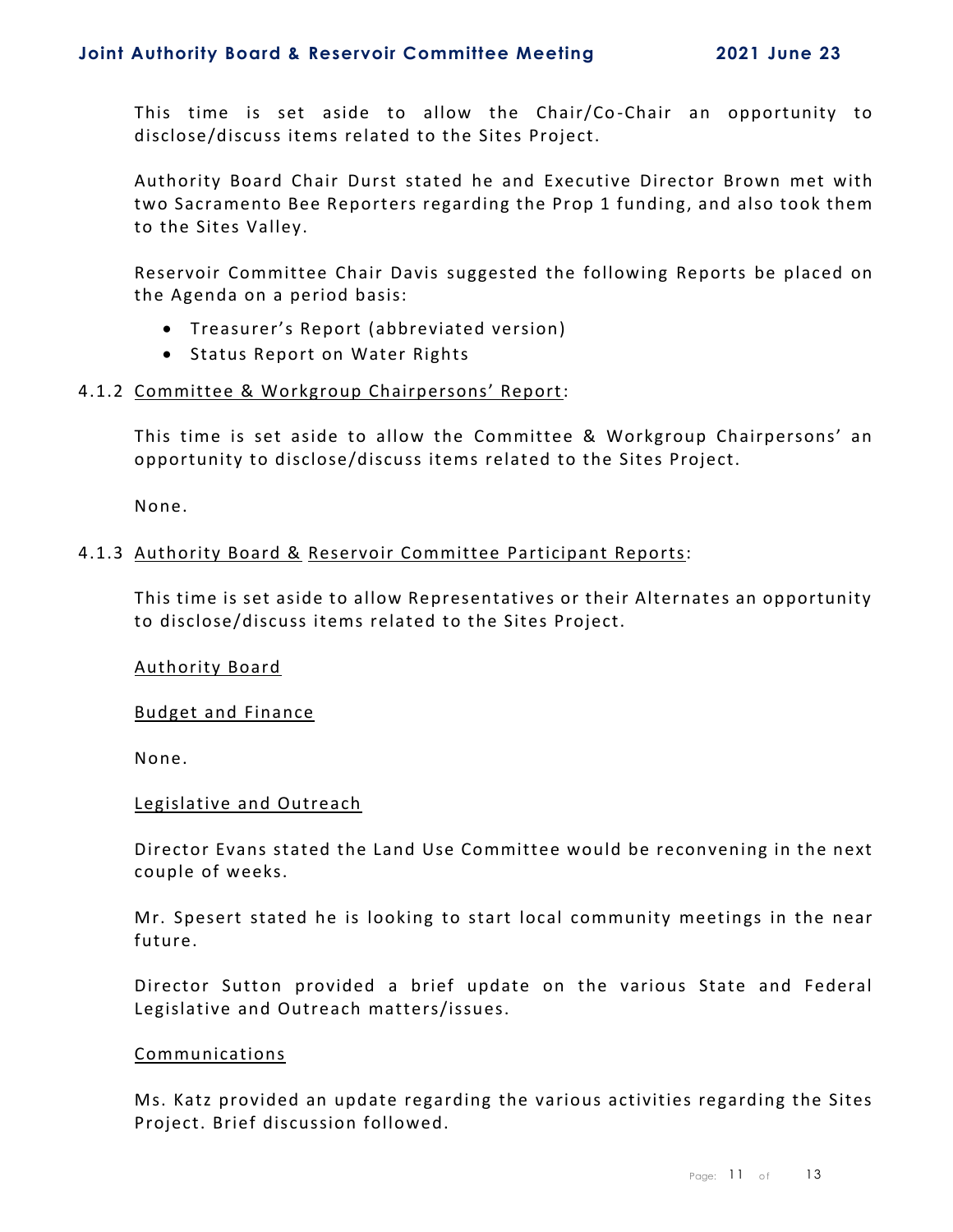This time is set aside to allow the Chair/Co -Chair an opportunity to disclose/discuss items related to the Sites Project.

Authority Board Chair Durst stated he and Executive Director Brown met with two Sacramento Bee Reporters regarding the Prop 1 funding, and also took them to the Sites Valley.

Reservoir Committee Chair Davis suggested the following Reports be placed on the Agenda on a period basis:

- Treasurer's Report (abbreviated version)
- Status Report on Water Rights

#### 4.1.2 Committee & Workgroup Chairpersons' Report:

This time is set aside to allow the Committee & Workgroup Chairpersons' an opportunity to disclose/discuss items related to the Sites Project.

None.

#### 4.1.3 Authority Board & Reservoir Committee Participant Reports:

This time is set aside to allow Representatives or their Alternates an opportunity to disclose/discuss items related to the Sites Project.

Authority Board

Budget and Finance

None.

#### Legislative and Outreach

Director Evans stated the Land Use Committee would be reconvening in the next couple of weeks.

Mr. Spesert stated he is looking to start local community meetings in the near future.

Director Sutton provided a brief update on the various State and Federal Legislative and Outreach matters/issues.

#### Communications

Ms. Katz provided an update regarding the various activities regarding the Sites Project. Brief discussion followed.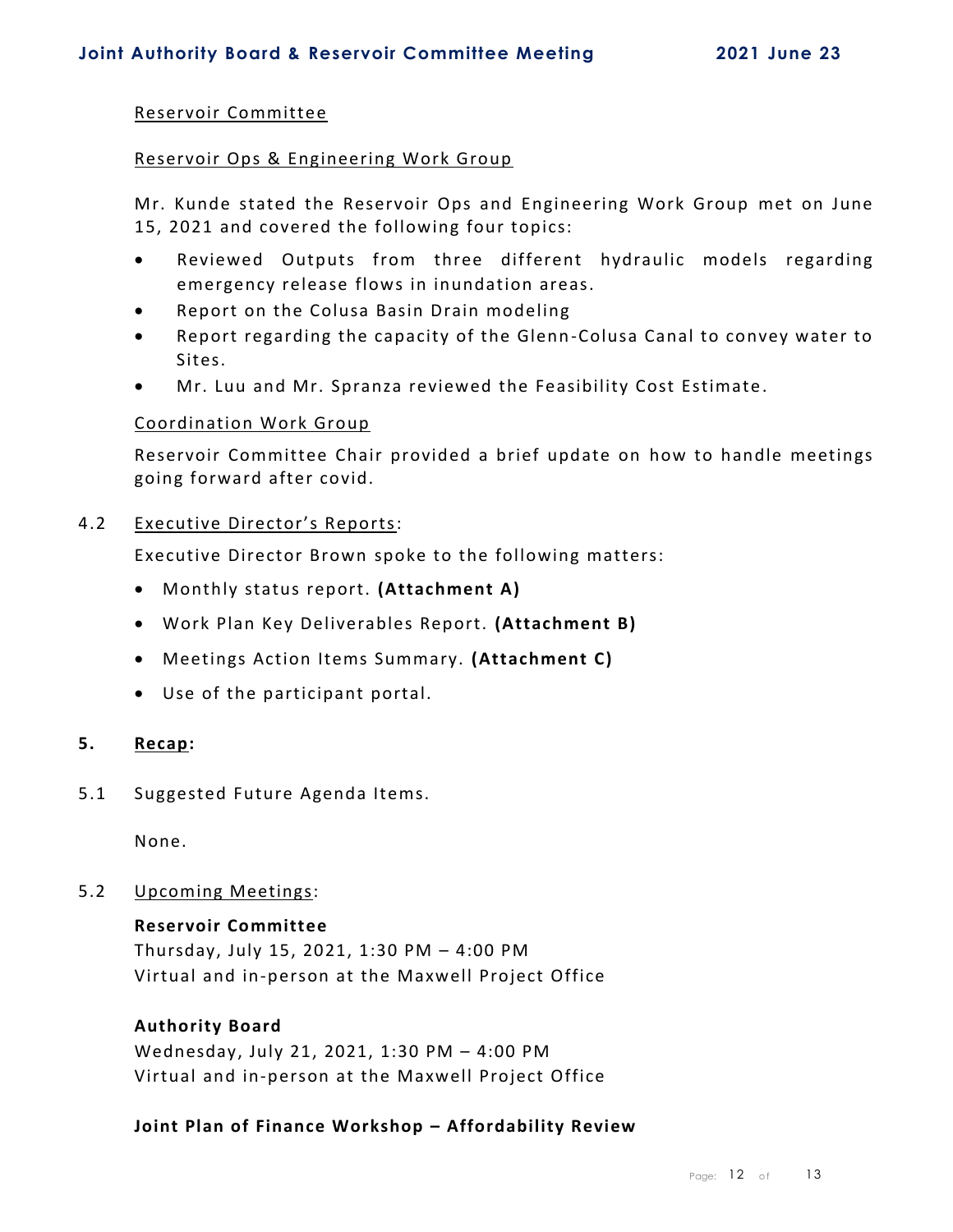#### Reservoir Committee

#### Reservoir Ops & Engineering Work Group

Mr. Kunde stated the Reservoir Ops and Engineering Work Group met on June 15, 2021 and covered the following four topics:

- Reviewed Outputs from three different hydraulic models regarding emergency release flows in inundation areas.
- Report on the Colusa Basin Drain modeling
- Report regarding the capacity of the Glenn-Colusa Canal to convey water to Sites.
- Mr. Luu and Mr. Spranza reviewed the Feasibility Cost Estimate.

#### Coordination Work Group

Reservoir Committee Chair provided a brief update on how to handle meetings going forward after covid.

#### 4.2 Executive Director's Reports:

Executive Director Brown spoke to the following matters:

- Monthly status report. **(Attachment A)**
- Work Plan Key Deliverables Report. **(Attachment B)**
- Meetings Action Items Summary. **(Attachment C)**
- Use of the participant portal.

#### **5. Recap:**

5.1 Suggested Future Agenda Items.

None.

#### 5.2 Upcoming Meetings:

#### **Reservoir Committee**

Thursday, July 15, 2021, 1:30 PM – 4:00 PM Virtual and in-person at the Maxwell Project Office

#### **Authority Board**

Wednesday, July 21, 2021, 1:30 PM – 4:00 PM Virtual and in-person at the Maxwell Project Office

#### **Joint Plan of Finance Workshop – Affordability Review**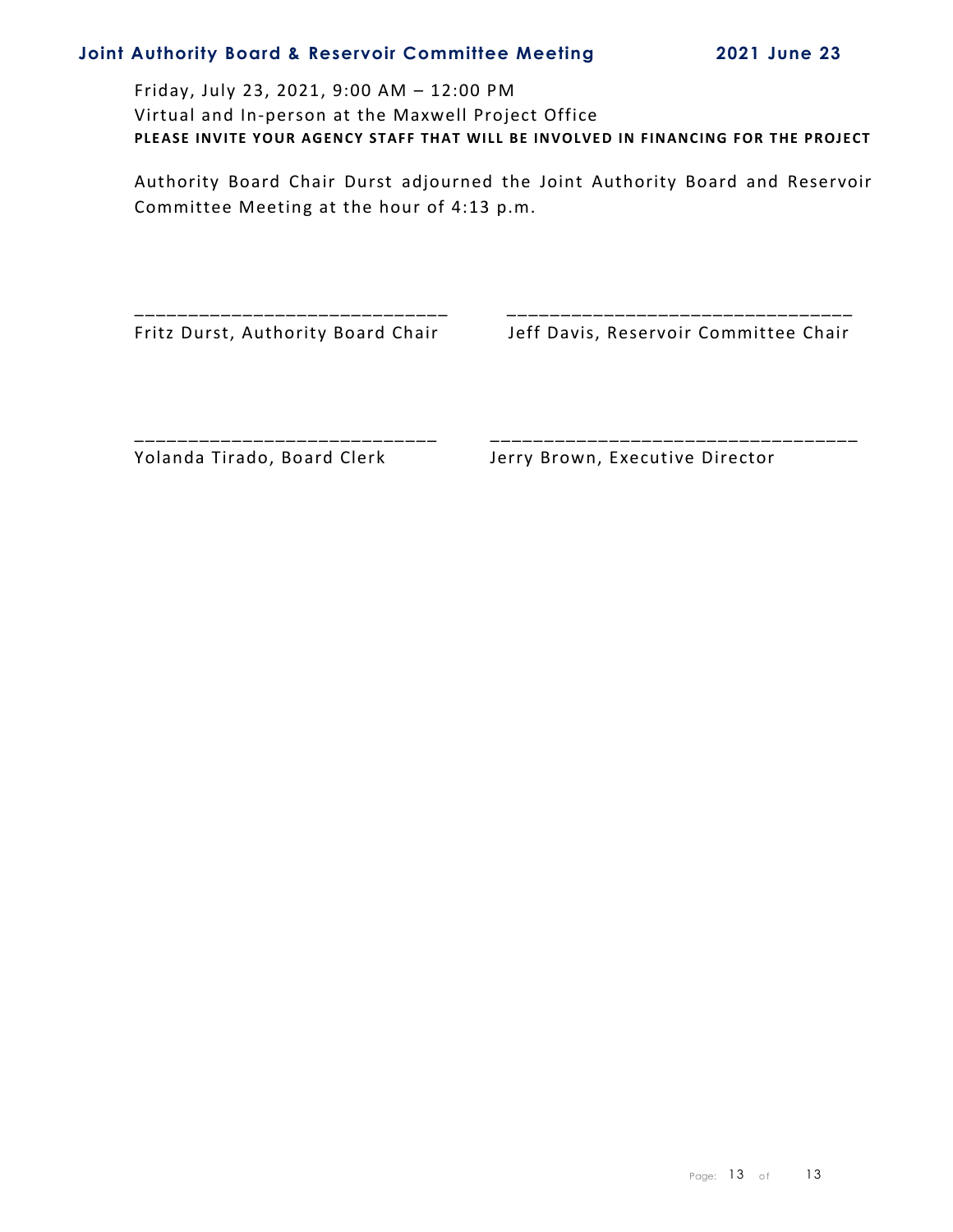Friday, July 23, 2021, 9:00 AM – 12:00 PM Virtual and In-person at the Maxwell Project Office PLEASE INVITE YOUR AGENCY STAFF THAT WILL BE INVOLVED IN FINANCING FOR THE PROJECT

Authority Board Chair Durst adjourned the Joint Authority Board and Reservoir Committee Meeting at the hour of 4:13 p.m.

\_\_\_\_\_\_\_\_\_\_\_\_\_\_\_\_\_\_\_\_\_\_\_\_\_\_\_\_\_ \_\_\_\_\_\_\_\_\_\_\_\_\_\_\_\_\_\_\_\_\_\_\_\_\_\_\_\_\_\_\_\_

\_\_\_\_\_\_\_\_\_\_\_\_\_\_\_\_\_\_\_\_\_\_\_\_\_\_\_\_ \_\_\_\_\_\_\_\_\_\_\_\_\_\_\_\_\_\_\_\_\_\_\_\_\_\_\_\_\_\_\_\_\_\_

Fritz Durst, Authority Board Chair Jeff Davis, Reservoir Committee Chair

Yolanda Tirado, Board Clerk Jerry Brown, Executive Director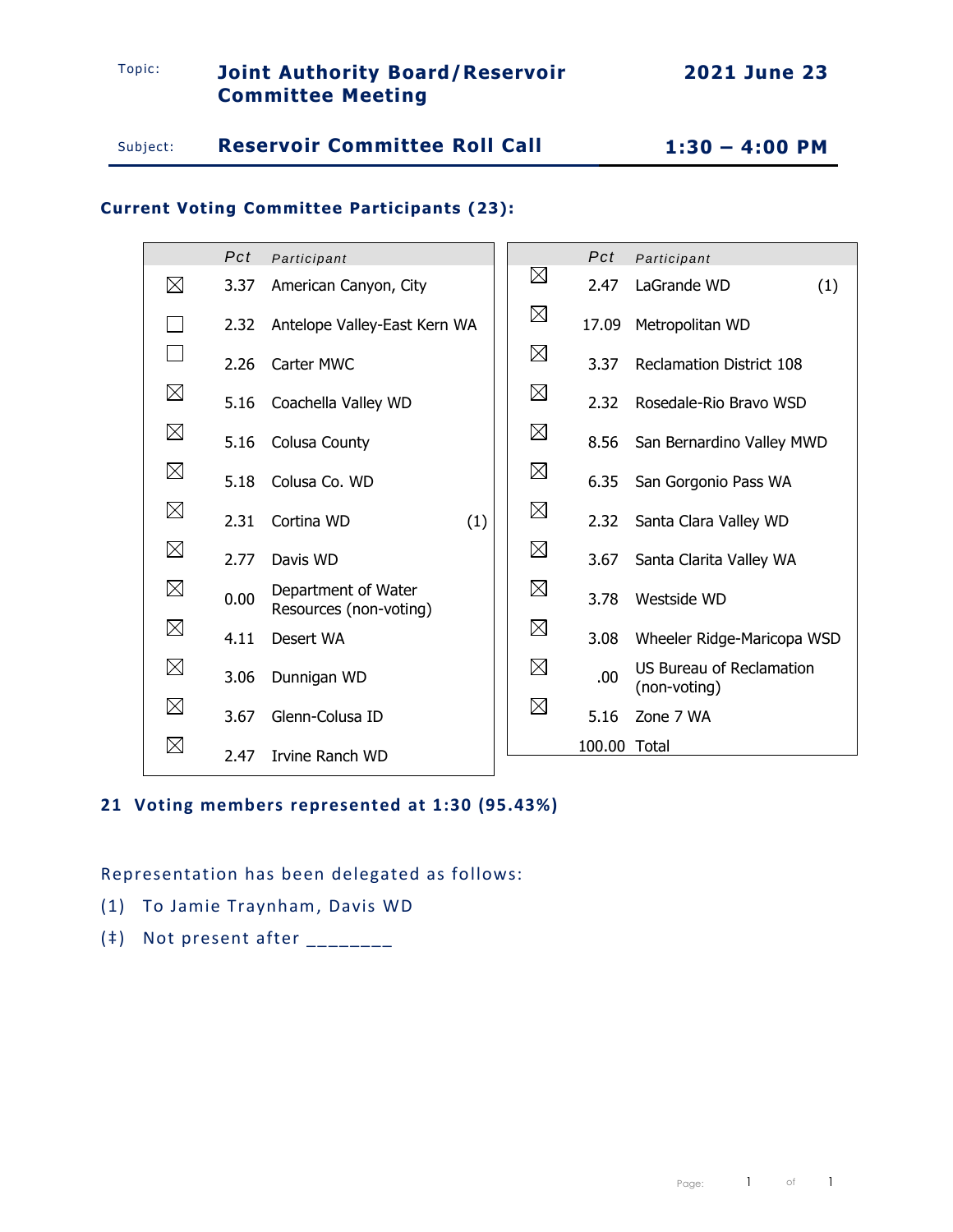# Topic: **Joint Authority Board/Reservoir Committee Meeting**

# Subject: **Reservoir Committee Roll Call 1:30 – 4:00 PM**

# **Current Voting Committee Participants (23):**

|             | Pct  | Participant                                   |             | Pct          | Participant                                     |
|-------------|------|-----------------------------------------------|-------------|--------------|-------------------------------------------------|
| $\boxtimes$ | 3.37 | American Canyon, City                         | $\boxtimes$ | 2.47         | LaGrande WD<br>(1)                              |
|             | 2.32 | Antelope Valley-East Kern WA                  | $\boxtimes$ | 17.09        | Metropolitan WD                                 |
|             | 2.26 | Carter MWC                                    | $\boxtimes$ | 3.37         | <b>Reclamation District 108</b>                 |
| $\boxtimes$ | 5.16 | Coachella Valley WD                           | $\boxtimes$ | 2.32         | Rosedale-Rio Brayo WSD                          |
| $\boxtimes$ | 5.16 | Colusa County                                 | $\boxtimes$ | 8.56         | San Bernardino Valley MWD                       |
| $\boxtimes$ | 5.18 | Colusa Co. WD                                 | $\boxtimes$ | 6.35         | San Gorgonio Pass WA                            |
| $\boxtimes$ | 2.31 | Cortina WD<br>(1)                             | $\boxtimes$ | 2.32         | Santa Clara Valley WD                           |
| $\boxtimes$ | 2.77 | Davis WD                                      | $\boxtimes$ | 3.67         | Santa Clarita Valley WA                         |
| $\boxtimes$ | 0.00 | Department of Water<br>Resources (non-voting) | $\boxtimes$ | 3.78         | Westside WD                                     |
| $\boxtimes$ | 4.11 | Desert WA                                     | $\boxtimes$ | 3.08         | Wheeler Ridge-Maricopa WSD                      |
| $\boxtimes$ | 3.06 | Dunnigan WD                                   | $\boxtimes$ | .00.         | <b>US Bureau of Reclamation</b><br>(non-voting) |
| $\boxtimes$ | 3.67 | Glenn-Colusa ID                               | $\boxtimes$ | 5.16         | Zone 7 WA                                       |
| $\boxtimes$ | 2.47 | Irvine Ranch WD                               |             | 100.00 Total |                                                 |

# **21 Voting members represented at 1:30 (95.43%)**

Representation has been delegated as follows:

- (1) To Jamie Traynham, Davis WD
- $(*)$  Not present after  $\frac{1}{2}$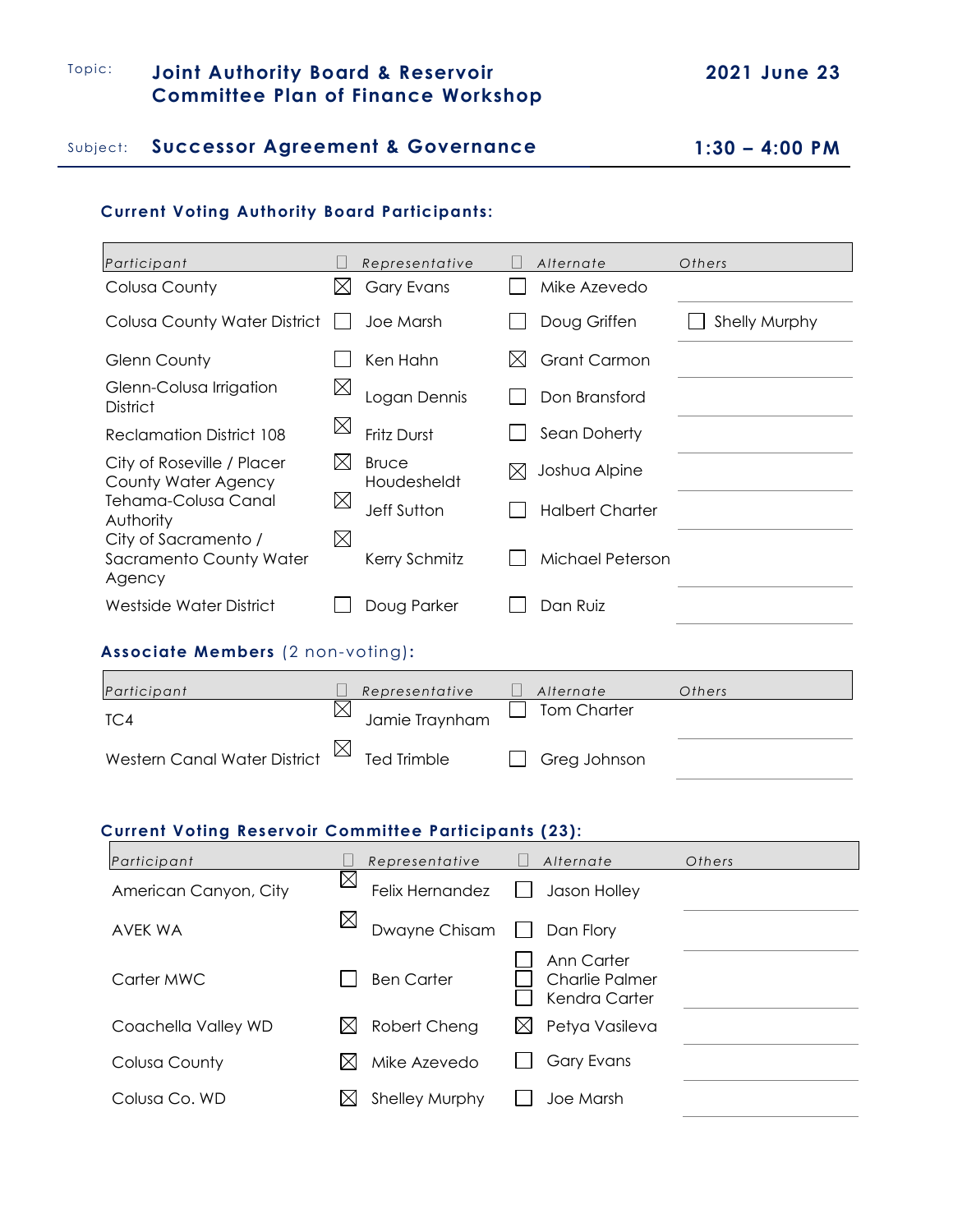# Topic: **Joint Authority Board & Reservoir Committee Plan of Finance Workshop**

## Subject: **Successor Agreement & Governance 1:30 – 4:00 PM**

## **Current Voting Authority Board Participants:**

 $\blacksquare$ 

| Participant                                               |             | Representative              |   | Alternate              | Others               |
|-----------------------------------------------------------|-------------|-----------------------------|---|------------------------|----------------------|
| Colusa County                                             | IХI         | <b>Gary Evans</b>           |   | Mike Azevedo           |                      |
| Colusa County Water District                              |             | Joe Marsh                   |   | Doug Griffen           | <b>Shelly Murphy</b> |
| Glenn County                                              |             | Ken Hahn                    |   | <b>Grant Carmon</b>    |                      |
| Glenn-Colusa Irrigation<br><b>District</b>                | $\boxtimes$ | Logan Dennis                |   | Don Bransford          |                      |
| <b>Reclamation District 108</b>                           | $\boxtimes$ | Fritz Durst                 |   | Sean Doherty           |                      |
| City of Roseville / Placer<br>County Water Agency         | IХI         | <b>Bruce</b><br>Houdesheldt | ⋉ | Joshua Alpine          |                      |
| Tehama-Colusa Canal<br>Authority                          | $\boxtimes$ | Jeff Sutton                 |   | <b>Halbert Charter</b> |                      |
| City of Sacramento /<br>Sacramento County Water<br>Agency | $\boxtimes$ | Kerry Schmitz               |   | Michael Peterson       |                      |
| Westside Water District                                   |             | Doug Parker                 |   | Dan Ruiz               |                      |
|                                                           |             |                             |   |                        |                      |

# **Associate Members** (2 non-voting)**:**

| Participant                                         | Representative     | Alternate    | Others |
|-----------------------------------------------------|--------------------|--------------|--------|
| TC4                                                 | Jamie Traynham     | Tom Charter  |        |
| Western Canal Water District $\overline{\boxtimes}$ | <b>Ted Trimble</b> | Greg Johnson |        |

#### **Current Voting Reservoir Committee Participants (23):**

| Participant           |             | Representative    | Alternate                                     | Others |
|-----------------------|-------------|-------------------|-----------------------------------------------|--------|
| American Canyon, City | $\boxtimes$ | Felix Hernandez   | Jason Holley                                  |        |
| AVEK WA               |             | Dwayne Chisam     | Dan Flory                                     |        |
| Carter MWC            |             | <b>Ben Carter</b> | Ann Carter<br>Charlie Palmer<br>Kendra Carter |        |
| Coachella Valley WD   | IХI         | Robert Cheng      | Petya Vasileva                                |        |
| Colusa County         | IXI         | Mike Azevedo      | Gary Evans                                    |        |
| Colusa Co. WD         |             | Shelley Murphy    | Joe Marsh                                     |        |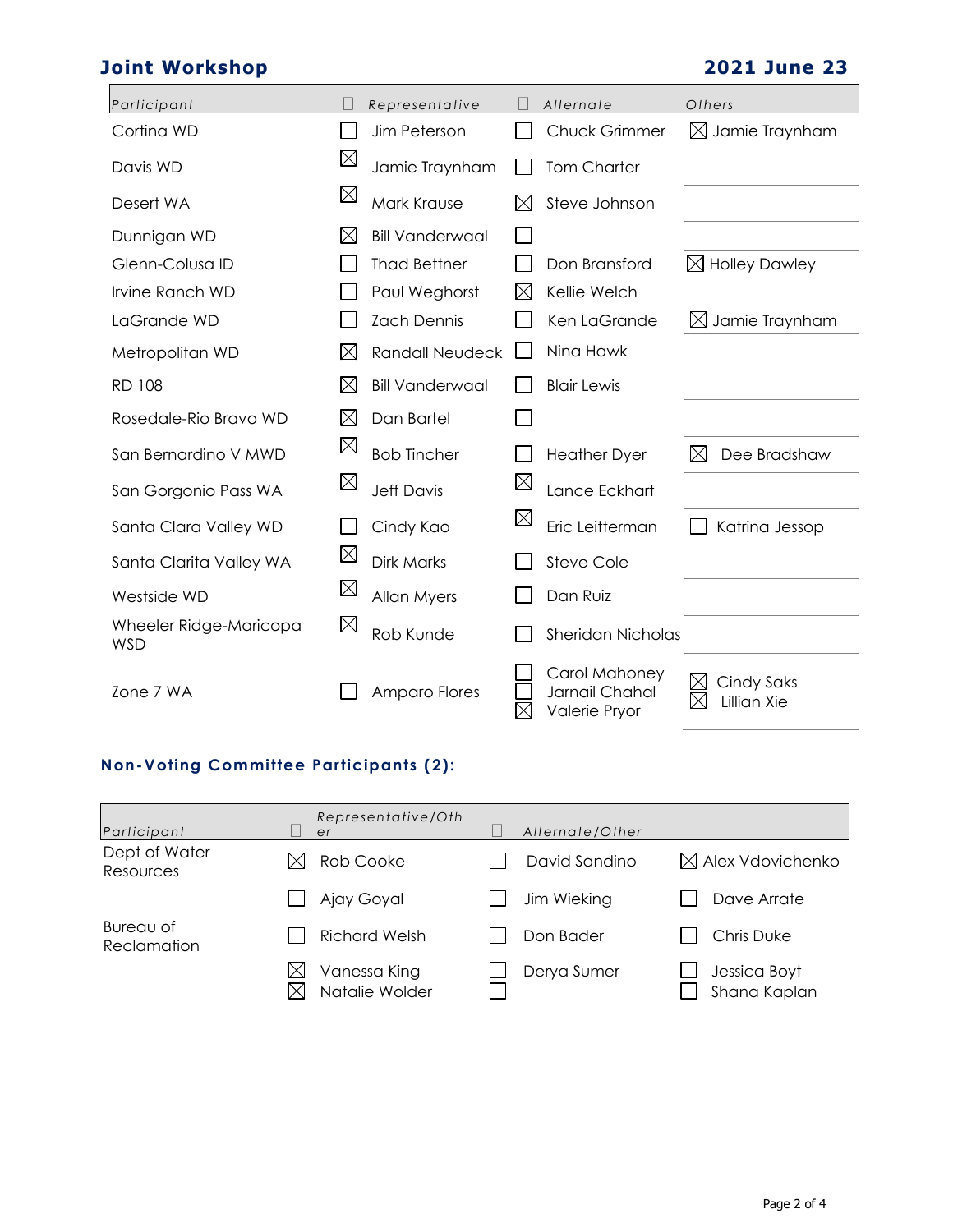# **Joint Workshop 2021 June 23**

| Participant                          |             | Representative         |             | Alternate                                        | Others                           |
|--------------------------------------|-------------|------------------------|-------------|--------------------------------------------------|----------------------------------|
| Cortina WD                           |             | Jim Peterson           |             | <b>Chuck Grimmer</b>                             | $\boxtimes$ Jamie Traynham       |
| Davis WD                             | $\boxtimes$ | Jamie Traynham         |             | <b>Tom Charter</b>                               |                                  |
| Desert WA                            | $\boxtimes$ | Mark Krause            |             | Steve Johnson                                    |                                  |
| Dunnigan WD                          | X           | <b>Bill Vanderwaal</b> |             |                                                  |                                  |
| Glenn-Colusa ID                      |             | <b>Thad Bettner</b>    |             | Don Bransford                                    | $\boxtimes$ Holley Dawley        |
| Irvine Ranch WD                      |             | Paul Weghorst          | $\boxtimes$ | Kellie Welch                                     |                                  |
| LaGrande WD                          |             | <b>Zach Dennis</b>     |             | Ken LaGrande                                     | $\boxtimes$ Jamie Traynham       |
| Metropolitan WD                      | $\boxtimes$ | <b>Randall Neudeck</b> |             | Nina Hawk                                        |                                  |
| <b>RD 108</b>                        | $\boxtimes$ | <b>Bill Vanderwaal</b> |             | <b>Blair Lewis</b>                               |                                  |
| Rosedale-Rio Bravo WD                | $\boxtimes$ | Dan Bartel             |             |                                                  |                                  |
| San Bernardino V MWD                 | $\boxtimes$ | <b>Bob Tincher</b>     |             | <b>Heather Dyer</b>                              | $\boxtimes$<br>Dee Bradshaw      |
| San Gorgonio Pass WA                 | $\boxtimes$ | <b>Jeff Davis</b>      | $\boxtimes$ | Lance Eckhart                                    |                                  |
| Santa Clara Valley WD                |             | Cindy Kao              | $\boxtimes$ | Eric Leitterman                                  | Katrina Jessop                   |
| Santa Clarita Valley WA              | $\boxtimes$ | <b>Dirk Marks</b>      |             | Steve Cole                                       |                                  |
| Westside WD                          | $\boxtimes$ | Allan Myers            |             | Dan Ruiz                                         |                                  |
| Wheeler Ridge-Maricopa<br><b>WSD</b> | $\boxtimes$ | Rob Kunde              |             | <b>Sheridan Nicholas</b>                         |                                  |
| Zone 7 WA                            |             | Amparo Flores          | ⋉           | Carol Mahoney<br>Jarnail Chahal<br>Valerie Pryor | <b>Cindy Saks</b><br>Lillian Xie |

# **Non-Voting Committee Participants (2):**

| Participant                | Representative/Oth<br>er       | Alternate/Other |                              |
|----------------------------|--------------------------------|-----------------|------------------------------|
| Dept of Water<br>Resources | Rob Cooke                      | David Sandino   | $\boxtimes$ Alex Vdovichenko |
|                            | Ajay Goyal                     | Jim Wieking     | Dave Arrate                  |
| Bureau of<br>Reclamation   | <b>Richard Welsh</b>           | Don Bader       | <b>Chris Duke</b>            |
|                            | Vanessa King<br>Natalie Wolder | Derya Sumer     | Jessica Boyt<br>Shana Kaplan |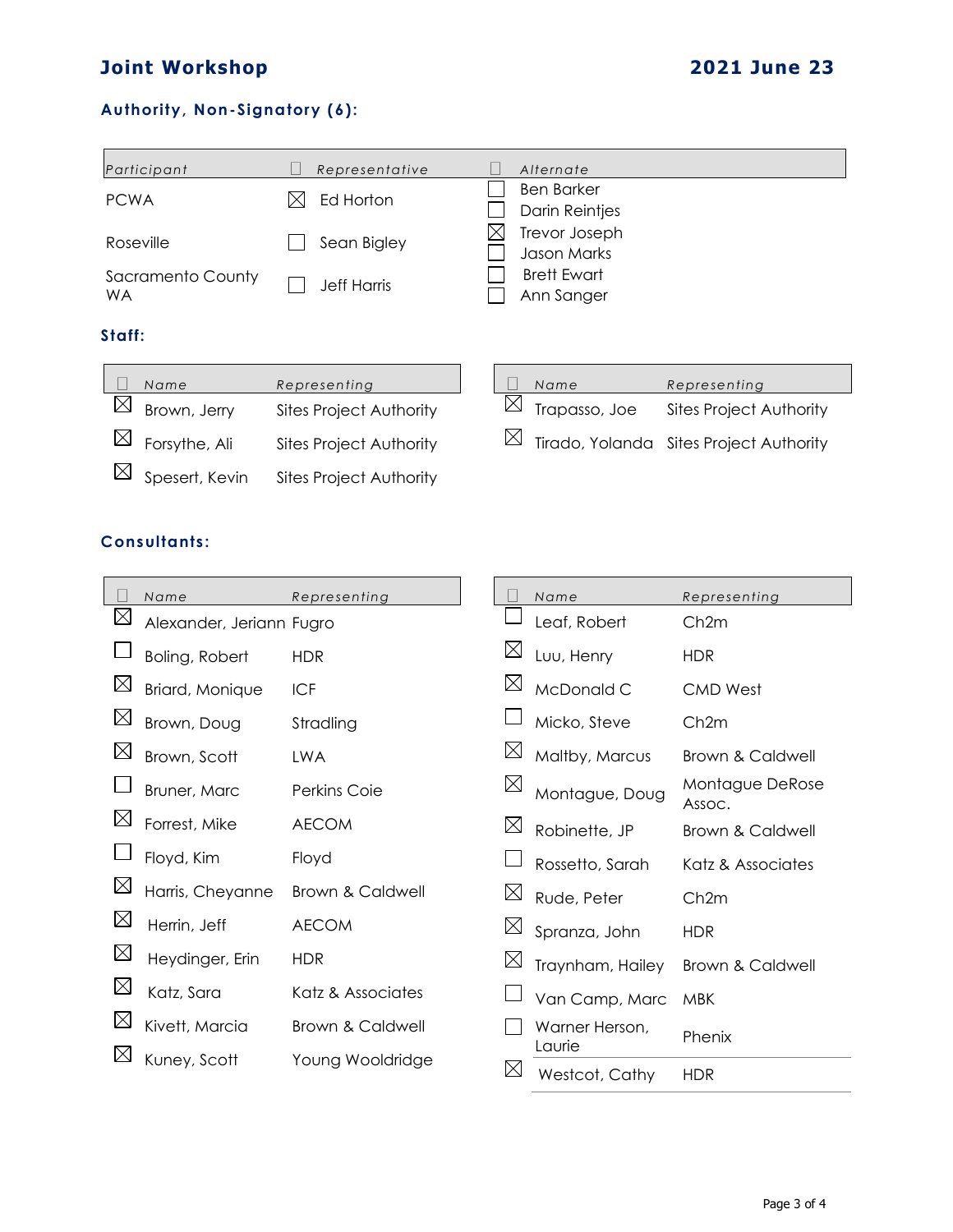# **Joint Workshop 2021 June 23**

# **Authority, Non-Signatory (6):**

|                                | Participant    | Representative                 |                                  |             | Alternate                           |                                         |
|--------------------------------|----------------|--------------------------------|----------------------------------|-------------|-------------------------------------|-----------------------------------------|
| <b>PCWA</b>                    |                | Ed Horton                      |                                  |             | <b>Ben Barker</b><br>Darin Reintjes |                                         |
| Roseville                      |                | Sean Bigley                    |                                  | Х           | Trevor Joseph<br>Jason Marks        |                                         |
| Sacramento County<br><b>WA</b> |                | <b>Jeff Harris</b>             | <b>Brett Ewart</b><br>Ann Sanger |             |                                     |                                         |
| Staff:                         |                |                                |                                  |             |                                     |                                         |
|                                | Name           | Representing                   |                                  |             | Name                                | Representing                            |
| $\boxtimes$                    | Brown, Jerry   | <b>Sites Project Authority</b> |                                  | $\boxtimes$ | Trapasso, Joe                       | <b>Sites Project Authority</b>          |
| $\boxtimes$                    | Forsythe, Ali  | <b>Sites Project Authority</b> |                                  | $\boxtimes$ |                                     | Tirado, Yolanda Sites Project Authority |
|                                | Spesert, Kevin | <b>Sites Project Authority</b> |                                  |             |                                     |                                         |

# **Consultants:**

|             | Name                     | Representing                |             | Name                     | Representing              |
|-------------|--------------------------|-----------------------------|-------------|--------------------------|---------------------------|
| $\boxtimes$ | Alexander, Jeriann Fugro |                             |             | Leaf, Robert             | Ch2m                      |
|             | Boling, Robert           | <b>HDR</b>                  | $\boxtimes$ | Luu, Henry               | <b>HDR</b>                |
| $\boxtimes$ | Briard, Monique          | <b>ICF</b>                  | $\boxtimes$ | McDonald C               | <b>CMD West</b>           |
| $\boxtimes$ | Brown, Doug              | Stradling                   |             | Micko, Steve             | Ch <sub>2m</sub>          |
| $\boxtimes$ | Brown, Scott             | <b>LWA</b>                  | $\boxtimes$ | Maltby, Marcus           | Brown & Caldwell          |
|             | Bruner, Marc             | Perkins Coie                | $\boxtimes$ | Montague, Doug           | Montague DeRose<br>Assoc. |
| $\boxtimes$ | Forrest, Mike            | <b>AECOM</b>                | $\boxtimes$ | Robinette, JP            | Brown & Caldwell          |
|             | Floyd, Kim               | Floyd                       |             | Rossetto, Sarah          | Katz & Associates         |
| $\boxtimes$ | Harris, Cheyanne         | <b>Brown &amp; Caldwell</b> | $\boxtimes$ | Rude, Peter              | Ch <sub>2m</sub>          |
| $\boxtimes$ | Herrin, Jeff             | <b>AECOM</b>                | $\boxtimes$ | Spranza, John            | <b>HDR</b>                |
| $\boxtimes$ | Heydinger, Erin          | <b>HDR</b>                  | $\boxtimes$ | Traynham, Hailey         | Brown & Caldwell          |
| $\boxtimes$ | Katz, Sara               | Katz & Associates           |             | Van Camp, Marc           | <b>MBK</b>                |
| $\boxtimes$ | Kivett, Marcia           | <b>Brown &amp; Caldwell</b> |             | Warner Herson,<br>Laurie | Phenix                    |
| $\boxtimes$ | Kuney, Scott             | Young Wooldridge            | Ж           | Westcot, Cathy           | <b>HDR</b>                |